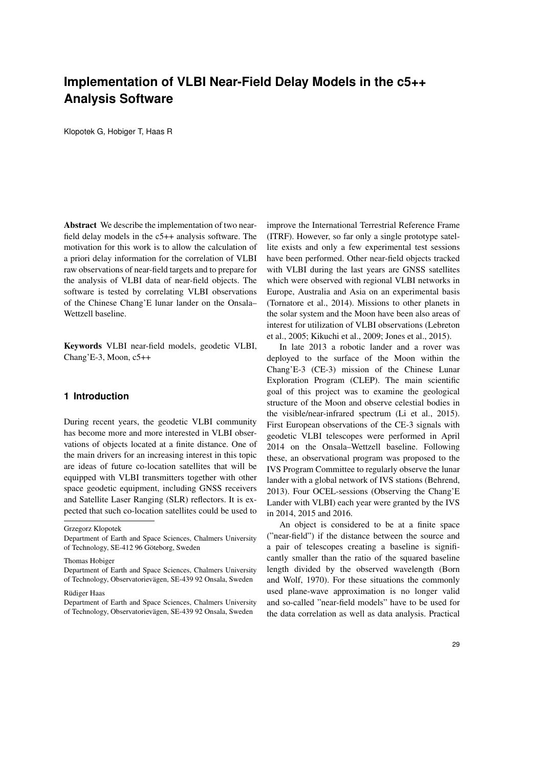# **Implementation of VLBI Near-Field Delay Models in the c5++ Analysis Software**

Klopotek G, Hobiger T, Haas R

Abstract We describe the implementation of two nearfield delay models in the c5++ analysis software. The motivation for this work is to allow the calculation of a priori delay information for the correlation of VLBI raw observations of near-field targets and to prepare for the analysis of VLBI data of near-field objects. The software is tested by correlating VLBI observations of the Chinese Chang'E lunar lander on the Onsala– Wettzell baseline.

Keywords VLBI near-field models, geodetic VLBI, Chang'E-3, Moon, c5++

# **1 Introduction**

During recent years, the geodetic VLBI community has become more and more interested in VLBI observations of objects located at a finite distance. One of the main drivers for an increasing interest in this topic are ideas of future co-location satellites that will be equipped with VLBI transmitters together with other space geodetic equipment, including GNSS receivers and Satellite Laser Ranging (SLR) reflectors. It is expected that such co-location satellites could be used to

Grzegorz Klopotek

#### Rüdiger Haas

improve the International Terrestrial Reference Frame (ITRF). However, so far only a single prototype satellite exists and only a few experimental test sessions have been performed. Other near-field objects tracked with VLBI during the last years are GNSS satellites which were observed with regional VLBI networks in Europe, Australia and Asia on an experimental basis (Tornatore et al., 2014). Missions to other planets in the solar system and the Moon have been also areas of interest for utilization of VLBI observations (Lebreton et al., 2005; Kikuchi et al., 2009; Jones et al., 2015).

In late 2013 a robotic lander and a rover was deployed to the surface of the Moon within the Chang'E-3 (CE-3) mission of the Chinese Lunar Exploration Program (CLEP). The main scientific goal of this project was to examine the geological structure of the Moon and observe celestial bodies in the visible/near-infrared spectrum (Li et al., 2015). First European observations of the CE-3 signals with geodetic VLBI telescopes were performed in April 2014 on the Onsala–Wettzell baseline. Following these, an observational program was proposed to the IVS Program Committee to regularly observe the lunar lander with a global network of IVS stations (Behrend, 2013). Four OCEL-sessions (Observing the Chang'E Lander with VLBI) each year were granted by the IVS in 2014, 2015 and 2016.

An object is considered to be at a finite space ("near-field") if the distance between the source and a pair of telescopes creating a baseline is significantly smaller than the ratio of the squared baseline length divided by the observed wavelength (Born and Wolf, 1970). For these situations the commonly used plane-wave approximation is no longer valid and so-called "near-field models" have to be used for the data correlation as well as data analysis. Practical

Department of Earth and Space Sciences, Chalmers University of Technology, SE-412 96 Göteborg, Sweden

Thomas Hobiger

Department of Earth and Space Sciences, Chalmers University of Technology, Observatorievagen, SE-439 92 Onsala, Sweden ¨

Department of Earth and Space Sciences, Chalmers University of Technology, Observatorievagen, SE-439 92 Onsala, Sweden ¨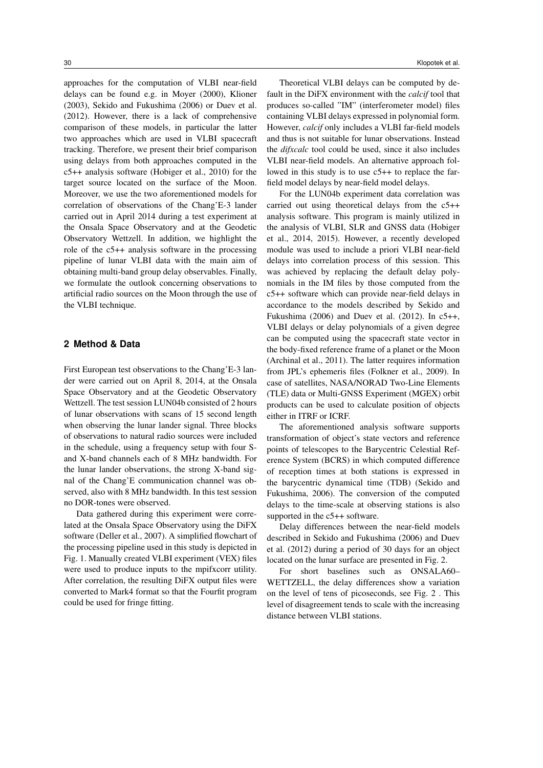approaches for the computation of VLBI near-field delays can be found e.g. in Moyer (2000), Klioner (2003), Sekido and Fukushima (2006) or Duev et al. (2012). However, there is a lack of comprehensive comparison of these models, in particular the latter two approaches which are used in VLBI spacecraft tracking. Therefore, we present their brief comparison using delays from both approaches computed in the c5++ analysis software (Hobiger et al., 2010) for the target source located on the surface of the Moon. Moreover, we use the two aforementioned models for correlation of observations of the Chang'E-3 lander carried out in April 2014 during a test experiment at the Onsala Space Observatory and at the Geodetic Observatory Wettzell. In addition, we highlight the role of the c5++ analysis software in the processing pipeline of lunar VLBI data with the main aim of obtaining multi-band group delay observables. Finally, we formulate the outlook concerning observations to artificial radio sources on the Moon through the use of the VLBI technique.

# **2 Method & Data**

First European test observations to the Chang'E-3 lander were carried out on April 8, 2014, at the Onsala Space Observatory and at the Geodetic Observatory Wettzell. The test session LUN04b consisted of 2 hours of lunar observations with scans of 15 second length when observing the lunar lander signal. Three blocks of observations to natural radio sources were included in the schedule, using a frequency setup with four Sand X-band channels each of 8 MHz bandwidth. For the lunar lander observations, the strong X-band signal of the Chang'E communication channel was observed, also with 8 MHz bandwidth. In this test session no DOR-tones were observed.

Data gathered during this experiment were correlated at the Onsala Space Observatory using the DiFX software (Deller et al., 2007). A simplified flowchart of the processing pipeline used in this study is depicted in Fig. 1. Manually created VLBI experiment (VEX) files were used to produce inputs to the mpifxcorr utility. After correlation, the resulting DiFX output files were converted to Mark4 format so that the Fourfit program could be used for fringe fitting.

Theoretical VLBI delays can be computed by default in the DiFX environment with the *calcif* tool that produces so-called "IM" (interferometer model) files containing VLBI delays expressed in polynomial form. However, *calcif* only includes a VLBI far-field models and thus is not suitable for lunar observations. Instead the *difxcalc* tool could be used, since it also includes VLBI near-field models. An alternative approach followed in this study is to use c5++ to replace the farfield model delays by near-field model delays.

For the LUN04b experiment data correlation was carried out using theoretical delays from the c5++ analysis software. This program is mainly utilized in the analysis of VLBI, SLR and GNSS data (Hobiger et al., 2014, 2015). However, a recently developed module was used to include a priori VLBI near-field delays into correlation process of this session. This was achieved by replacing the default delay polynomials in the IM files by those computed from the c5++ software which can provide near-field delays in accordance to the models described by Sekido and Fukushima (2006) and Duev et al. (2012). In  $c5++$ , VLBI delays or delay polynomials of a given degree can be computed using the spacecraft state vector in the body-fixed reference frame of a planet or the Moon (Archinal et al., 2011). The latter requires information from JPL's ephemeris files (Folkner et al., 2009). In case of satellites, NASA/NORAD Two-Line Elements (TLE) data or Multi-GNSS Experiment (MGEX) orbit products can be used to calculate position of objects either in ITRF or ICRF.

The aforementioned analysis software supports transformation of object's state vectors and reference points of telescopes to the Barycentric Celestial Reference System (BCRS) in which computed difference of reception times at both stations is expressed in the barycentric dynamical time (TDB) (Sekido and Fukushima, 2006). The conversion of the computed delays to the time-scale at observing stations is also supported in the c5++ software.

Delay differences between the near-field models described in Sekido and Fukushima (2006) and Duev et al. (2012) during a period of 30 days for an object located on the lunar surface are presented in Fig. 2.

For short baselines such as ONSALA60– WETTZELL, the delay differences show a variation on the level of tens of picoseconds, see Fig. 2 . This level of disagreement tends to scale with the increasing distance between VLBI stations.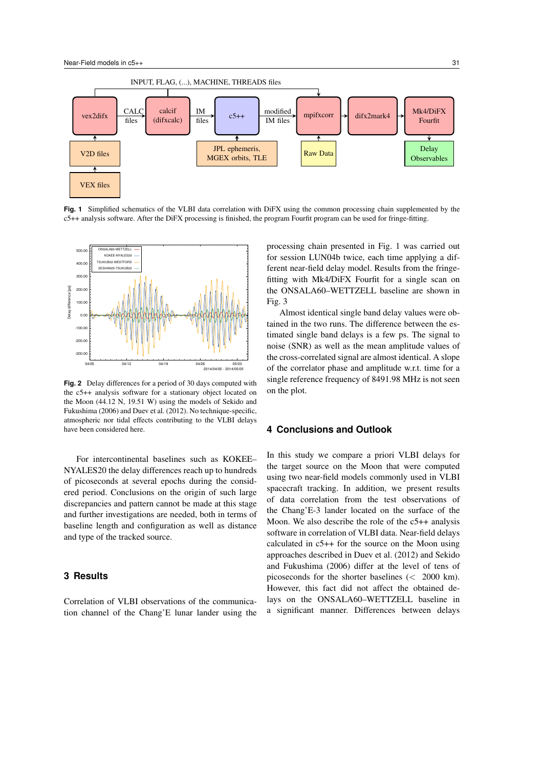

**Fig. 1** Simplified schematics of the VLBI data correlation with DiFX using the common processing chain supplemented by the c5++ analysis software. After the DiFX processing is finished, the program Fourfit program can be used for fringe-fitting.



**Fig. 2** Delay differences for a period of 30 days computed with the c5++ analysis software for a stationary object located on the Moon (44.12 N, 19.51 W) using the models of Sekido and Fukushima (2006) and Duev et al. (2012). No technique-specific, atmospheric nor tidal effects contributing to the VLBI delays have been considered here.

For intercontinental baselines such as KOKEE– NYALES20 the delay differences reach up to hundreds of picoseconds at several epochs during the considered period. Conclusions on the origin of such large discrepancies and pattern cannot be made at this stage and further investigations are needed, both in terms of baseline length and configuration as well as distance and type of the tracked source.

# **3 Results**

Correlation of VLBI observations of the communication channel of the Chang'E lunar lander using the processing chain presented in Fig. 1 was carried out for session LUN04b twice, each time applying a different near-field delay model. Results from the fringefitting with Mk4/DiFX Fourfit for a single scan on the ONSALA60–WETTZELL baseline are shown in Fig. 3

Almost identical single band delay values were obtained in the two runs. The difference between the estimated single band delays is a few ps. The signal to noise (SNR) as well as the mean amplitude values of the cross-correlated signal are almost identical. A slope of the correlator phase and amplitude w.r.t. time for a single reference frequency of 8491.98 MHz is not seen on the plot.

# **4 Conclusions and Outlook**

In this study we compare a priori VLBI delays for the target source on the Moon that were computed using two near-field models commonly used in VLBI spacecraft tracking. In addition, we present results of data correlation from the test observations of the Chang'E-3 lander located on the surface of the Moon. We also describe the role of the c5++ analysis software in correlation of VLBI data. Near-field delays calculated in c5++ for the source on the Moon using approaches described in Duev et al. (2012) and Sekido and Fukushima (2006) differ at the level of tens of picoseconds for the shorter baselines (< 2000 km). However, this fact did not affect the obtained delays on the ONSALA60–WETTZELL baseline in a significant manner. Differences between delays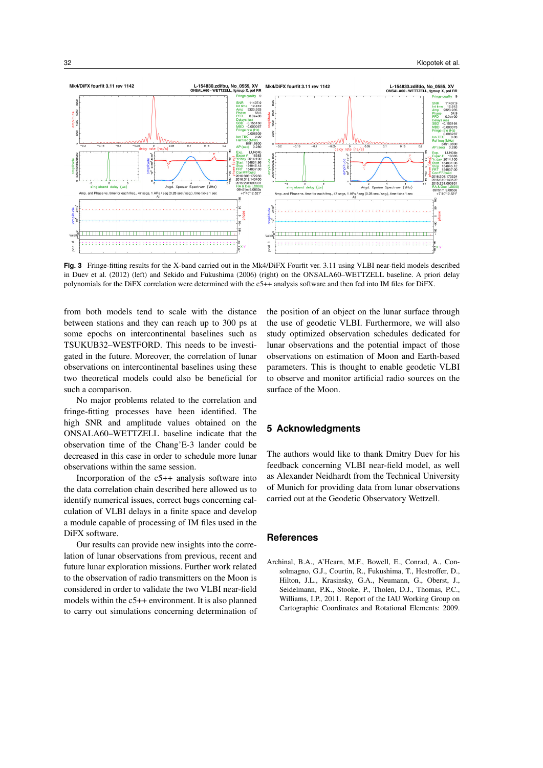

**Fig. 3** Fringe-fitting results for the X-band carried out in the Mk4/DiFX Fourfit ver. 3.11 using VLBI near-field models described in Duev et al. (2012) (left) and Sekido and Fukushima (2006) (right) on the ONSALA60–WETTZELL baseline. A priori delay polynomials for the DiFX correlation were determined with the c5++ analysis software and then fed into IM files for DiFX.

from both models tend to scale with the distance between stations and they can reach up to 300 ps at some epochs on intercontinental baselines such as TSUKUB32–WESTFORD. This needs to be investigated in the future. Moreover, the correlation of lunar observations on intercontinental baselines using these two theoretical models could also be beneficial for such a comparison.

No major problems related to the correlation and fringe-fitting processes have been identified. The high SNR and amplitude values obtained on the ONSALA60–WETTZELL baseline indicate that the observation time of the Chang'E-3 lander could be decreased in this case in order to schedule more lunar observations within the same session.

Incorporation of the c5++ analysis software into the data correlation chain described here allowed us to identify numerical issues, correct bugs concerning calculation of VLBI delays in a finite space and develop a module capable of processing of IM files used in the DiFX software.

Our results can provide new insights into the correlation of lunar observations from previous, recent and future lunar exploration missions. Further work related to the observation of radio transmitters on the Moon is considered in order to validate the two VLBI near-field models within the c5++ environment. It is also planned to carry out simulations concerning determination of the position of an object on the lunar surface through the use of geodetic VLBI. Furthermore, we will also study optimized observation schedules dedicated for lunar observations and the potential impact of those observations on estimation of Moon and Earth-based parameters. This is thought to enable geodetic VLBI to observe and monitor artificial radio sources on the surface of the Moon.

# **5 Acknowledgments**

The authors would like to thank Dmitry Duev for his feedback concerning VLBI near-field model, as well as Alexander Neidhardt from the Technical University of Munich for providing data from lunar observations carried out at the Geodetic Observatory Wettzell.

### **References**

Archinal, B.A., A'Hearn, M.F., Bowell, E., Conrad, A., Consolmagno, G.J., Courtin, R., Fukushima, T., Hestroffer, D., Hilton, J.L., Krasinsky, G.A., Neumann, G., Oberst, J., Seidelmann, P.K., Stooke, P., Tholen, D.J., Thomas, P.C., Williams, I.P., 2011. Report of the IAU Working Group on Cartographic Coordinates and Rotational Elements: 2009.